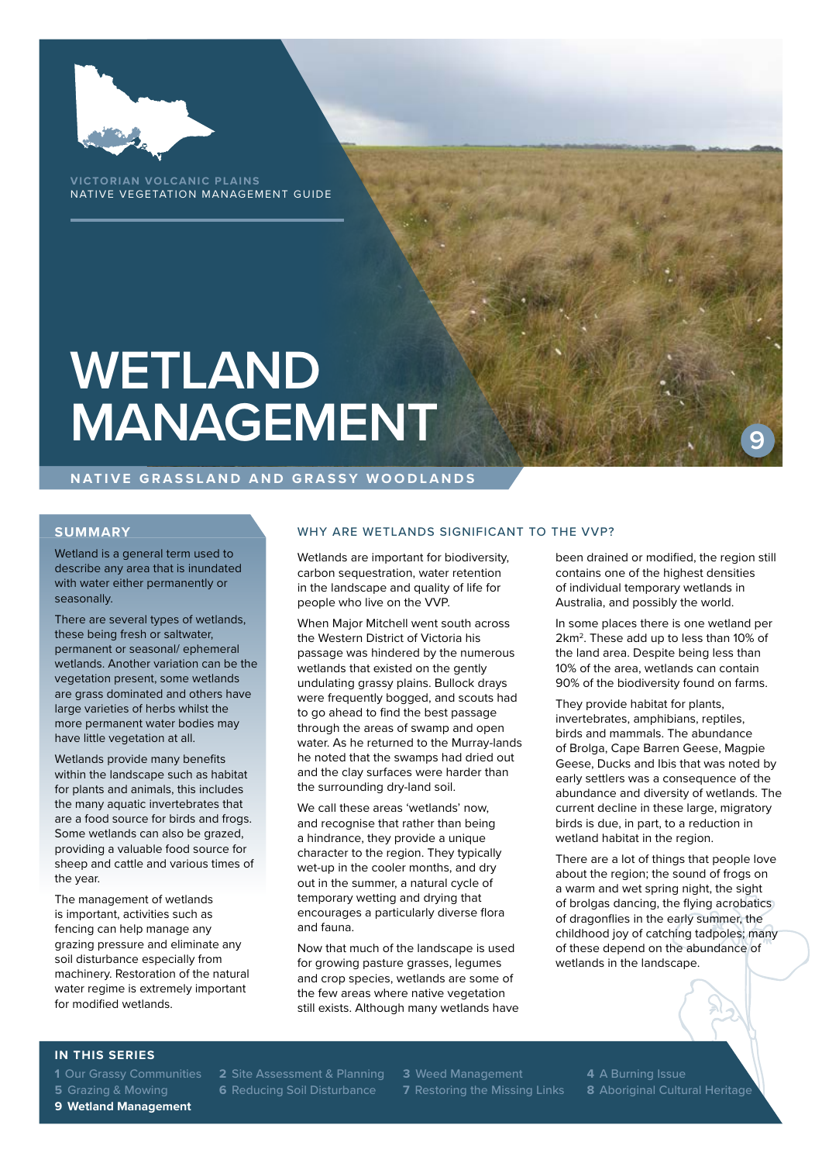

**VICTORIAN VOLCANIC PLAINS** NATIVE VEGETATION MANAGEMENT GUIDE

# **WETLAND MANAGEMENT**

#### **NATIVE GRASSLAND AND GRASSY WOODLANDS**

### **SUMMARY**

Wetland is a general term used to describe any area that is inundated with water either permanently or seasonally.

There are several types of wetlands, these being fresh or saltwater, permanent or seasonal/ ephemeral wetlands. Another variation can be the vegetation present, some wetlands are grass dominated and others have large varieties of herbs whilst the more permanent water bodies may have little vegetation at all.

Wetlands provide many benefits within the landscape such as habitat for plants and animals, this includes the many aquatic invertebrates that are a food source for birds and frogs. Some wetlands can also be grazed, providing a valuable food source for sheep and cattle and various times of the year.

The management of wetlands is important, activities such as fencing can help manage any grazing pressure and eliminate any soil disturbance especially from machinery. Restoration of the natural water regime is extremely important for modified wetlands.

#### WHY ARE WETLANDS SIGNIFICANT TO THE VVP?

Wetlands are important for biodiversity, carbon sequestration, water retention in the landscape and quality of life for people who live on the VVP.

When Major Mitchell went south across the Western District of Victoria his passage was hindered by the numerous wetlands that existed on the gently undulating grassy plains. Bullock drays were frequently bogged, and scouts had to go ahead to find the best passage through the areas of swamp and open water. As he returned to the Murray-lands he noted that the swamps had dried out and the clay surfaces were harder than the surrounding dry-land soil.

We call these areas 'wetlands' now, and recognise that rather than being a hindrance, they provide a unique character to the region. They typically wet-up in the cooler months, and dry out in the summer, a natural cycle of temporary wetting and drying that encourages a particularly diverse flora and fauna.

Now that much of the landscape is used for growing pasture grasses, legumes and crop species, wetlands are some of the few areas where native vegetation still exists. Although many wetlands have been drained or modified, the region still contains one of the highest densities of individual temporary wetlands in Australia, and possibly the world.

**9**

In some places there is one wetland per 2km2. These add up to less than 10% of the land area. Despite being less than 10% of the area, wetlands can contain 90% of the biodiversity found on farms.

They provide habitat for plants, invertebrates, amphibians, reptiles, birds and mammals. The abundance of Brolga, Cape Barren Geese, Magpie Geese, Ducks and Ibis that was noted by early settlers was a consequence of the abundance and diversity of wetlands. The current decline in these large, migratory birds is due, in part, to a reduction in wetland habitat in the region.

There are a lot of things that people love about the region; the sound of frogs on a warm and wet spring night, the sight of brolgas dancing, the flying acrobatics of dragonflies in the early summer, the childhood joy of catching tadpoles; many of these depend on the abundance of wetlands in the landscape.

#### **IN THIS SERIES**

**9 Wetland Management**

**1** Our Grassy Communities **2** Site Assessment & Planning **3** Weed Management **4** A Burning Issue **5** Grazing & Mowing **6** Reducing Soil Disturbance **7** Restoring the Missing Links **8** Aboriginal Cultural Heritage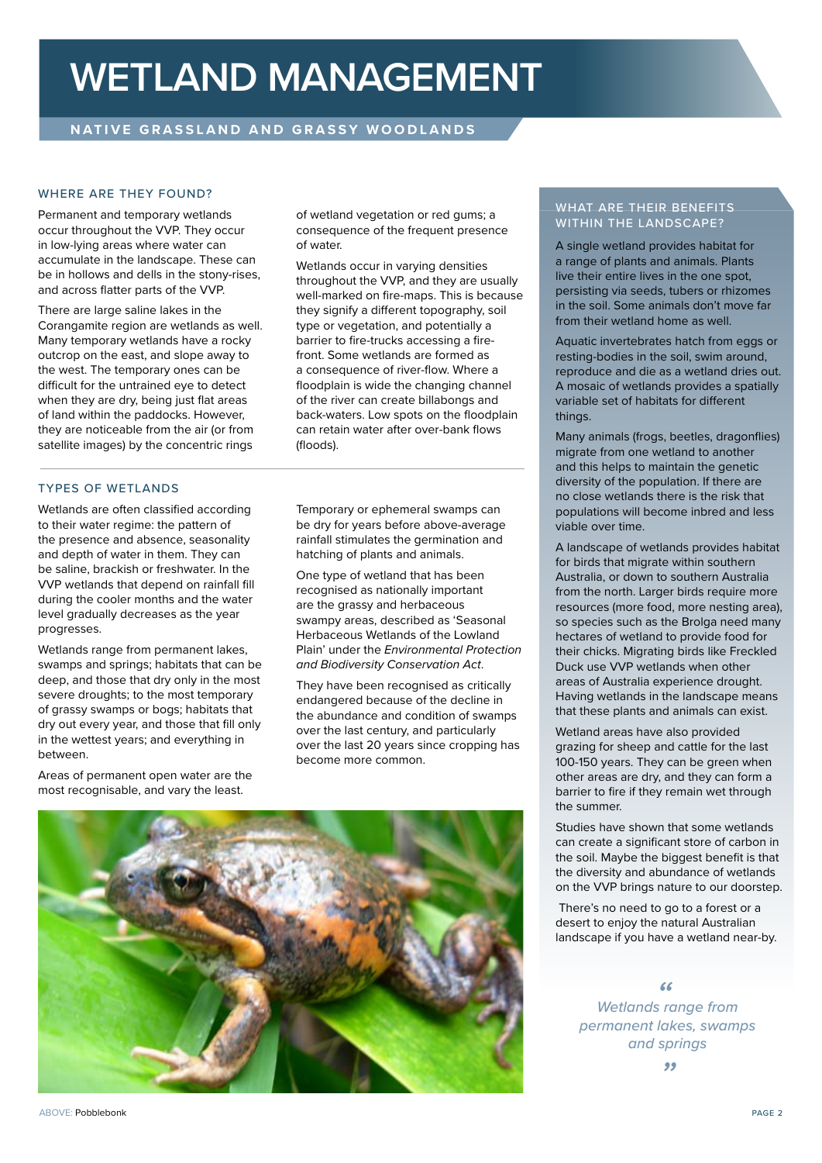### **WETLAND MANAGEMENT**

#### WHERE ARE THEY FOUND?

Permanent and temporary wetlands occur throughout the VVP. They occur in low-lying areas where water can accumulate in the landscape. These can be in hollows and dells in the stony-rises, and across flatter parts of the VVP.

There are large saline lakes in the Corangamite region are wetlands as well. Many temporary wetlands have a rocky outcrop on the east, and slope away to the west. The temporary ones can be difficult for the untrained eye to detect when they are dry, being just flat areas of land within the paddocks. However, they are noticeable from the air (or from satellite images) by the concentric rings

#### TYPES OF WETLANDS

Wetlands are often classified according to their water regime: the pattern of the presence and absence, seasonality and depth of water in them. They can be saline, brackish or freshwater. In the VVP wetlands that depend on rainfall fill during the cooler months and the water level gradually decreases as the year progresses.

Wetlands range from permanent lakes, swamps and springs; habitats that can be deep, and those that dry only in the most severe droughts; to the most temporary of grassy swamps or bogs; habitats that dry out every year, and those that fill only in the wettest years; and everything in between.

Areas of permanent open water are the most recognisable, and vary the least.

of wetland vegetation or red gums; a consequence of the frequent presence of water.

Wetlands occur in varying densities throughout the VVP, and they are usually well-marked on fire-maps. This is because they signify a different topography, soil type or vegetation, and potentially a barrier to fire-trucks accessing a firefront. Some wetlands are formed as a consequence of river-flow. Where a floodplain is wide the changing channel of the river can create billabongs and back-waters. Low spots on the floodplain can retain water after over-bank flows (floods).

Temporary or ephemeral swamps can be dry for years before above-average rainfall stimulates the germination and hatching of plants and animals.

One type of wetland that has been recognised as nationally important are the grassy and herbaceous swampy areas, described as 'Seasonal Herbaceous Wetlands of the Lowland Plain' under the *Environmental Protection and Biodiversity Conservation Act*.

They have been recognised as critically endangered because of the decline in the abundance and condition of swamps over the last century, and particularly over the last 20 years since cropping has become more common.



#### WHAT ARE THEIR BENEFITS WITHIN THE LANDSCAPE?

A single wetland provides habitat for a range of plants and animals. Plants live their entire lives in the one spot, persisting via seeds, tubers or rhizomes in the soil. Some animals don't move far from their wetland home as well.

Aquatic invertebrates hatch from eggs or resting-bodies in the soil, swim around, reproduce and die as a wetland dries out. A mosaic of wetlands provides a spatially variable set of habitats for different things

Many animals (frogs, beetles, dragonflies) migrate from one wetland to another and this helps to maintain the genetic diversity of the population. If there are no close wetlands there is the risk that populations will become inbred and less viable over time.

A landscape of wetlands provides habitat for birds that migrate within southern Australia, or down to southern Australia from the north. Larger birds require more resources (more food, more nesting area), so species such as the Brolga need many hectares of wetland to provide food for their chicks. Migrating birds like Freckled Duck use VVP wetlands when other areas of Australia experience drought. Having wetlands in the landscape means that these plants and animals can exist.

Wetland areas have also provided grazing for sheep and cattle for the last 100-150 years. They can be green when other areas are dry, and they can form a barrier to fire if they remain wet through the summer.

Studies have shown that some wetlands can create a significant store of carbon in the soil. Maybe the biggest benefit is that the diversity and abundance of wetlands on the VVP brings nature to our doorstep.

 There's no need to go to a forest or a desert to enjoy the natural Australian landscape if you have a wetland near-by.

*Wetlands range from " permanent lakes, swamps and springs "*

ABOVE: Pobblebonk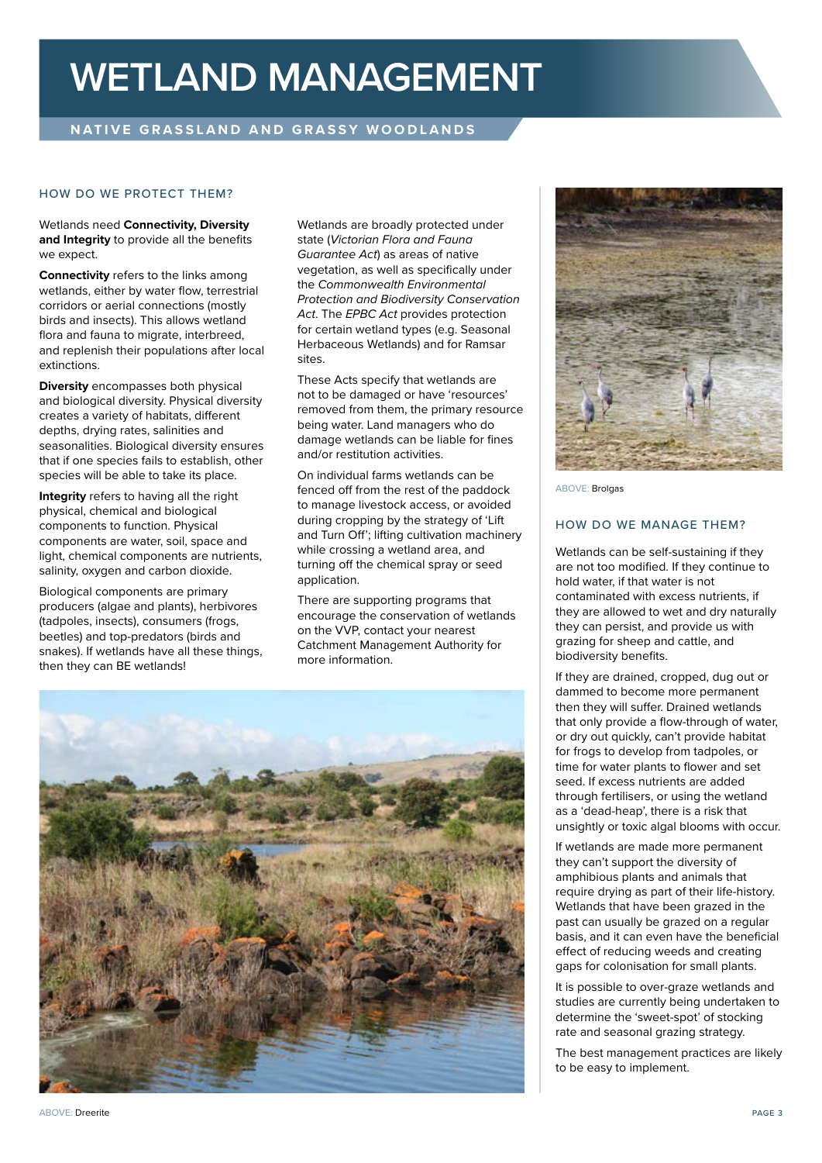## **WETLAND MANAGEMENT**

### **NATIVE GRASSLAND AND GRASSY WOODLANDS**

#### HOW DO WE PROTECT THEM?

Wetlands need **Connectivity, Diversity and Integrity** to provide all the benefits we expect.

**Connectivity** refers to the links among wetlands, either by water flow, terrestrial corridors or aerial connections (mostly birds and insects). This allows wetland flora and fauna to migrate, interbreed, and replenish their populations after local extinctions.

**Diversity** encompasses both physical and biological diversity. Physical diversity creates a variety of habitats, different depths, drying rates, salinities and seasonalities. Biological diversity ensures that if one species fails to establish, other species will be able to take its place.

**Integrity** refers to having all the right physical, chemical and biological components to function. Physical components are water, soil, space and light, chemical components are nutrients, salinity, oxygen and carbon dioxide.

Biological components are primary producers (algae and plants), herbivores (tadpoles, insects), consumers (frogs, beetles) and top-predators (birds and snakes). If wetlands have all these things, then they can BE wetlands!

Wetlands are broadly protected under state (*Victorian Flora and Fauna Guarantee Act*) as areas of native vegetation, as well as specifically under the *Commonwealth Environmental Protection and Biodiversity Conservation Act*. The *EPBC Act* provides protection for certain wetland types (e.g. Seasonal Herbaceous Wetlands) and for Ramsar sites.

These Acts specify that wetlands are not to be damaged or have 'resources' removed from them, the primary resource being water. Land managers who do damage wetlands can be liable for fines and/or restitution activities.

On individual farms wetlands can be fenced off from the rest of the paddock to manage livestock access, or avoided during cropping by the strategy of 'Lift and Turn Off'; lifting cultivation machinery while crossing a wetland area, and turning off the chemical spray or seed application.

There are supporting programs that encourage the conservation of wetlands on the VVP, contact your nearest Catchment Management Authority for more information.





ABOVE: Brolgas

#### HOW DO WE MANAGE THEM?

Wetlands can be self-sustaining if they are not too modified. If they continue to hold water, if that water is not contaminated with excess nutrients, if they are allowed to wet and dry naturally they can persist, and provide us with grazing for sheep and cattle, and biodiversity benefits.

If they are drained, cropped, dug out or dammed to become more permanent then they will suffer. Drained wetlands that only provide a flow-through of water, or dry out quickly, can't provide habitat for frogs to develop from tadpoles, or time for water plants to flower and set seed. If excess nutrients are added through fertilisers, or using the wetland as a 'dead-heap', there is a risk that unsightly or toxic algal blooms with occur.

If wetlands are made more permanent they can't support the diversity of amphibious plants and animals that require drying as part of their life-history. Wetlands that have been grazed in the past can usually be grazed on a regular basis, and it can even have the beneficial effect of reducing weeds and creating gaps for colonisation for small plants.

It is possible to over-graze wetlands and studies are currently being undertaken to determine the 'sweet-spot' of stocking rate and seasonal grazing strategy.

The best management practices are likely to be easy to implement.